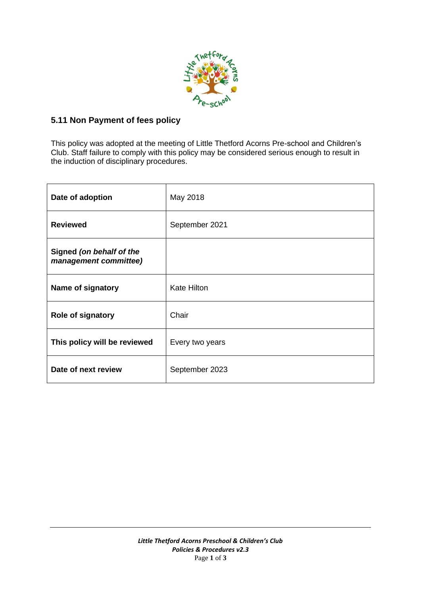

## **5.11 Non Payment of fees policy**

This policy was adopted at the meeting of Little Thetford Acorns Pre-school and Children's Club. Staff failure to comply with this policy may be considered serious enough to result in the induction of disciplinary procedures.

| Date of adoption                                  | May 2018           |
|---------------------------------------------------|--------------------|
| <b>Reviewed</b>                                   | September 2021     |
| Signed (on behalf of the<br>management committee) |                    |
| Name of signatory                                 | <b>Kate Hilton</b> |
| Role of signatory                                 | Chair              |
| This policy will be reviewed                      | Every two years    |
| Date of next review                               | September 2023     |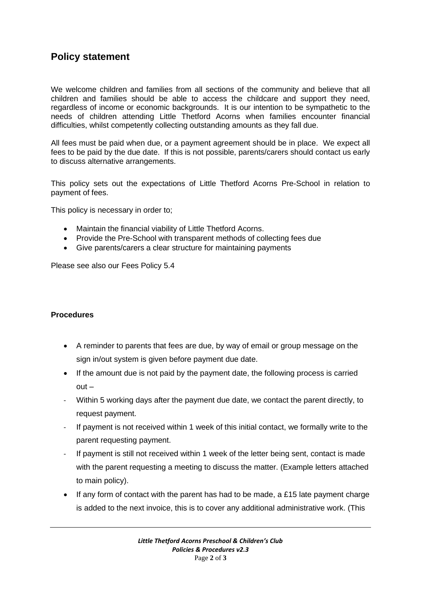## **Policy statement**

We welcome children and families from all sections of the community and believe that all children and families should be able to access the childcare and support they need, regardless of income or economic backgrounds. It is our intention to be sympathetic to the needs of children attending Little Thetford Acorns when families encounter financial difficulties, whilst competently collecting outstanding amounts as they fall due.

All fees must be paid when due, or a payment agreement should be in place. We expect all fees to be paid by the due date. If this is not possible, parents/carers should contact us early to discuss alternative arrangements.

This policy sets out the expectations of Little Thetford Acorns Pre-School in relation to payment of fees.

This policy is necessary in order to;

- Maintain the financial viability of Little Thetford Acorns.
- Provide the Pre-School with transparent methods of collecting fees due
- Give parents/carers a clear structure for maintaining payments

Please see also our Fees Policy 5.4

## **Procedures**

- A reminder to parents that fees are due, by way of email or group message on the sign in/out system is given before payment due date.
- If the amount due is not paid by the payment date, the following process is carried out –
- Within 5 working days after the payment due date, we contact the parent directly, to request payment.
- If payment is not received within 1 week of this initial contact, we formally write to the parent requesting payment.
- If payment is still not received within 1 week of the letter being sent, contact is made with the parent requesting a meeting to discuss the matter. (Example letters attached to main policy).
- If any form of contact with the parent has had to be made, a £15 late payment charge is added to the next invoice, this is to cover any additional administrative work. (This